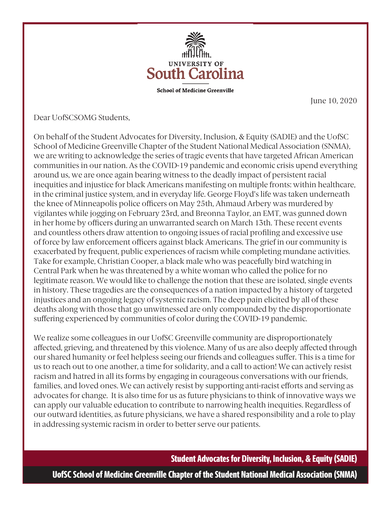

**School of Medicine Greenville** 

June 10, 2020

Dear UofSCSOMG Students,

On behalf of the Student Advocates for Diversity, Inclusion, & Equity (SADIE) and the UofSC School of Medicine Greenville Chapter of the Student National Medical Association (SNMA), we are writing to acknowledge the series of tragic events that have targeted African American communities in our nation. As the COVID-19 pandemic and economic crisis upend everything around us, we are once again bearing witness to the deadly impact of persistent racial inequities and injustice for black Americans manifesting on multiple fronts: within healthcare, in the criminal justice system, and in everyday life. George Floyd's life was taken underneath the knee of Minneapolis police officers on May 25th, Ahmaud Arbery was murdered by vigilantes while jogging on February 23rd, and Breonna Taylor, an EMT, was gunned down in her home by officers during an unwarranted search on March 13th. These recent events and countless others draw attention to ongoing issues of racial profiling and excessive use of force by law enforcement officers against black Americans. The grief in our community is exacerbated by frequent, public experiences of racism while completing mundane activities. Take for example, Christian Cooper, a black male who was peacefully bird watching in Central Park when he was threatened by a white woman who called the police for no legitimate reason. We would like to challenge the notion that these are isolated, single events in history. These tragedies are the consequences of a nation impacted by a history of targeted injustices and an ongoing legacy of systemic racism. The deep pain elicited by all of these deaths along with those that go unwitnessed are only compounded by the disproportionate suffering experienced by communities of color during the COVID-19 pandemic.

We realize some colleagues in our UofSC Greenville community are disproportionately affected, grieving, and threatened by this violence. Many of us are also deeply affected through our shared humanity or feel helpless seeing our friends and colleagues suffer. This is a time for us to reach out to one another, a time for solidarity, and a call to action! We can actively resist racism and hatred in all its forms by engaging in courageous conversations with our friends, families, and loved ones. We can actively resist by supporting anti-racist efforts and serving as advocates for change. It is also time for us as future physicians to think of innovative ways we can apply our valuable education to contribute to narrowing health inequities. Regardless of our outward identities, as future physicians, we have a shared responsibility and a role to play in addressing systemic racism in order to better serve our patients.

Student Advocates for Diversity, Inclusion, & Equity (SADIE)

UofSC School of Medicine Greenville Chapter of the Student National Medical Association (SNMA)